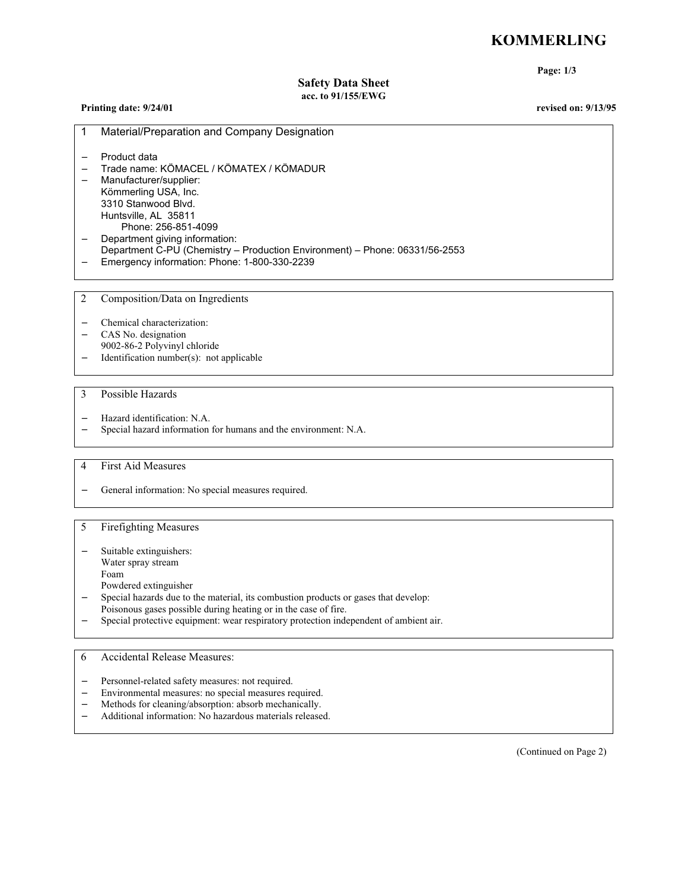# **KÖMMERLING**

**Page: 1/3**

# **Safety Data Sheet acc. to 91/155/EWG**

| Printing date: 9/24/01 |  |  |  |
|------------------------|--|--|--|
|------------------------|--|--|--|

**Printing date: 9/24/01 revised on: 9/13/95**

| Material/Preparation and Company Designation                                                                                                                                                            |
|---------------------------------------------------------------------------------------------------------------------------------------------------------------------------------------------------------|
| - Product data<br>$\tau$ ( $\mu$ <sup>2</sup> $\mu$ <sub>2</sub> ), $\mu$ <sup>2</sup> $\tau$ ( $\mu$ <sup>2</sup> ), $\mu$ <sub>2</sub> ), $\tau$ ( $\mu$ <sup>2</sup> ), $\mu$ <sub>2</sub> ), $\tau$ |

- − Trade name: KÖMACEL / KÖMATEX / KÖMADUR
- − Manufacturer/supplier: Kömmerling USA, Inc. 3310 Stanwood Blvd. Huntsville, AL 35811 Phone: 256-851-4099 − Department giving information:
- Department C-PU (Chemistry Production Environment) Phone: 06331/56-2553
- − Emergency information: Phone: 1-800-330-2239

2 Composition/Data on Ingredients

- − Chemical characterization:
- − CAS No. designation
- 9002-86-2 Polyvinyl chloride
- − Identification number(s): not applicable
- 3 Possible Hazards
- − Hazard identification: N.A.
- − Special hazard information for humans and the environment: N.A.
- 4 First Aid Measures
- − General information: No special measures required.

# 5 Firefighting Measures

- Suitable extinguishers:
- Water spray stream
- Foam
- Powdered extinguisher
- − Special hazards due to the material, its combustion products or gases that develop:
	- Poisonous gases possible during heating or in the case of fire.
- − Special protective equipment: wear respiratory protection independent of ambient air.

# 6 Accidental Release Measures:

- Personnel-related safety measures: not required.
- Environmental measures: no special measures required.
- − Methods for cleaning/absorption: absorb mechanically.
- − Additional information: No hazardous materials released.

(Continued on Page 2)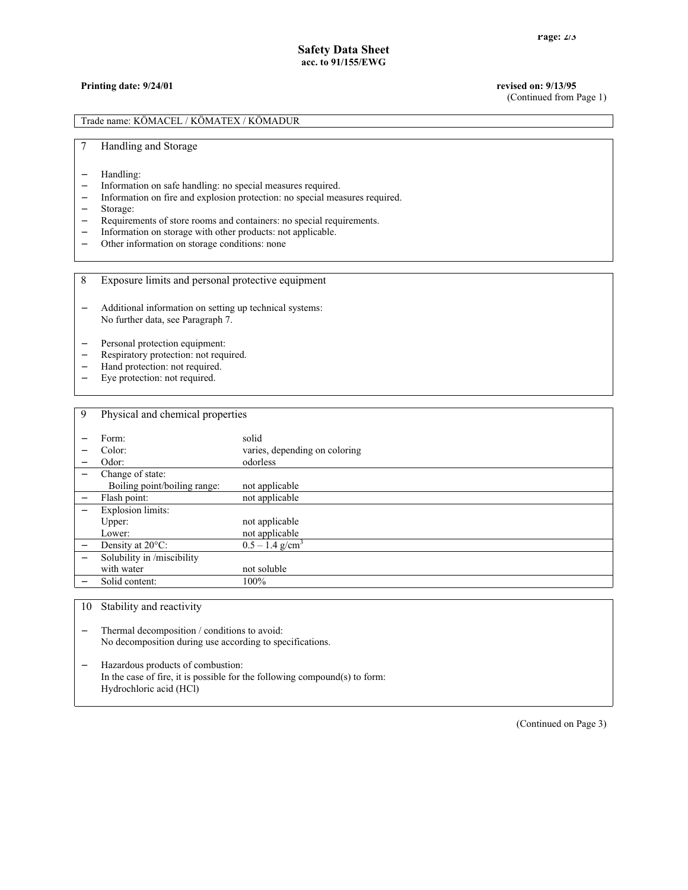#### **Printing date: 9/24/01 revised on: 9/13/95**

(Continued from Page 1)

Trade name: KÖMACEL / KÖMATEX / KÖMADUR

7 Handling and Storage

- Handling:
- − Information on safe handling: no special measures required.
- − Information on fire and explosion protection: no special measures required.
- − Storage:
- − Requirements of store rooms and containers: no special requirements.
- − Information on storage with other products: not applicable.<br>
− Other information on storage conditions: none
- Other information on storage conditions: none
- 8 Exposure limits and personal protective equipment
- − Additional information on setting up technical systems: No further data, see Paragraph 7.
- Personal protection equipment:
- − Respiratory protection: not required.
- − Hand protection: not required.<br>− Eye protection: not required.
- Eye protection: not required.

| 9 | Physical and chemical properties |                               |
|---|----------------------------------|-------------------------------|
|   | Form:                            | solid                         |
|   | Color:                           | varies, depending on coloring |
|   | Odor:                            | odorless                      |
|   | Change of state:                 |                               |
|   | Boiling point/boiling range:     | not applicable                |
|   | Flash point:                     | not applicable                |
|   | <b>Explosion limits:</b>         |                               |
|   | Upper:                           | not applicable                |
|   | Lower:                           | not applicable                |
|   | Density at 20°C:                 | $0.5 - 1.4$ g/cm <sup>3</sup> |
|   | Solubility in /miscibility       |                               |
|   | with water                       | not soluble                   |
|   | Solid content:                   | 100%                          |

10 Stability and reactivity

− Thermal decomposition / conditions to avoid: No decomposition during use according to specifications.

− Hazardous products of combustion: In the case of fire, it is possible for the following compound(s) to form: Hydrochloric acid (HCl)

(Continued on Page 3)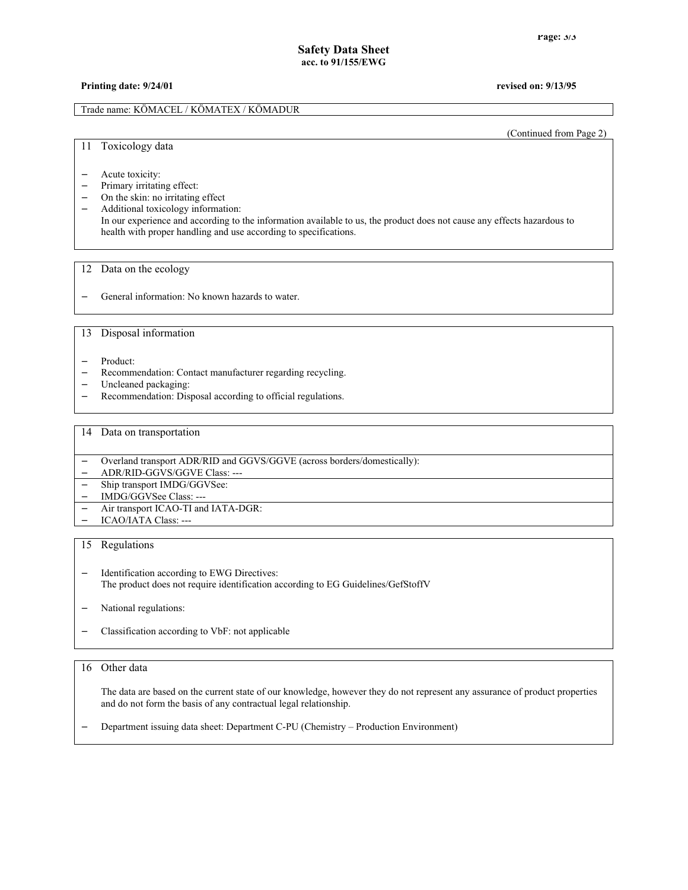### **Printing date: 9/24/01 revised on: 9/13/95**

#### Trade name: KÖMACEL / KÖMATEX / KÖMADUR

(Continued from Page 2)

#### 11 Toxicology data

- − Acute toxicity:
- − Primary irritating effect:
- − On the skin: no irritating effect
- − Additional toxicology information:
- In our experience and according to the information available to us, the product does not cause any effects hazardous to health with proper handling and use according to specifications.

#### 12 Data on the ecology

− General information: No known hazards to water.

## 13 Disposal information

- − Product:
- − Recommendation: Contact manufacturer regarding recycling.
- − Uncleaned packaging:
- − Recommendation: Disposal according to official regulations.

#### 14 Data on transportation

|        | Overland transport ADR/RID and GGVS/GGVE (across borders/domestically): |
|--------|-------------------------------------------------------------------------|
|        | ADR/RID-GGVS/GGVE Class: ---                                            |
|        | - Ship transport IMDG/GGVSee:                                           |
| $\sim$ | IMDG/GGVSee Class: ---                                                  |
|        | - Air transport ICAO-TI and IATA-DGR:                                   |
|        | $-$ ICAO/IATA Class: ---                                                |

#### 15 Regulations

- − Identification according to EWG Directives: The product does not require identification according to EG Guidelines/GefStoffV
- National regulations:
- − Classification according to VbF: not applicable

#### 16 Other data

The data are based on the current state of our knowledge, however they do not represent any assurance of product properties and do not form the basis of any contractual legal relationship.

− Department issuing data sheet: Department C-PU (Chemistry – Production Environment)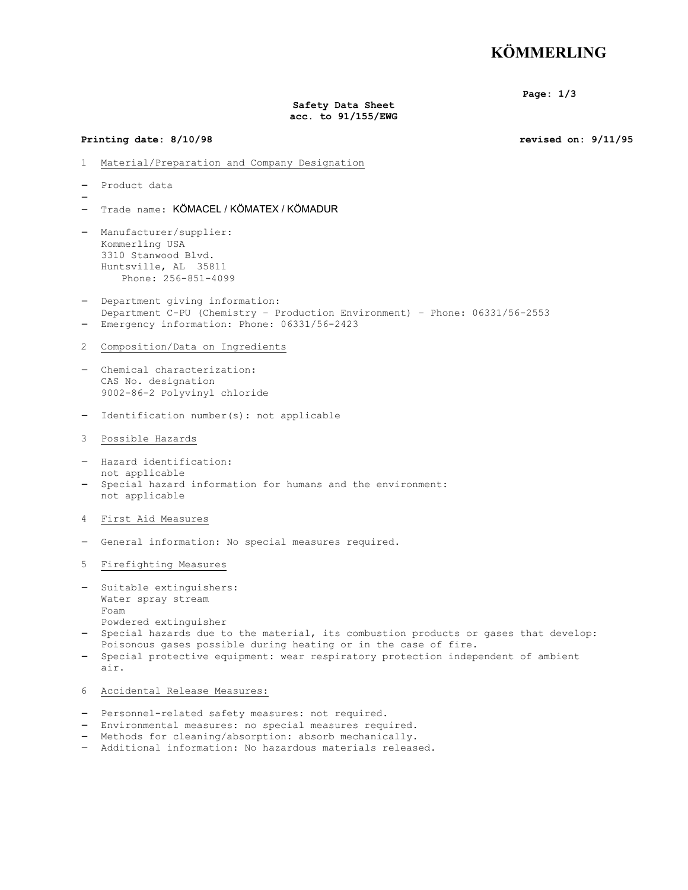# **KÖMMERLING**

**Page: 1/3**

#### **Safety Data Sheet acc. to 91/155/EWG**

#### **Printing date: 8/10/98 revised on: 9/11/95**

- 1 Material/Preparation and Company Designation
- − Product data

−

- − Trade name: KÖMACEL / KÖMATEX / KÖMADUR
- − Manufacturer/supplier: Kommerling USA 3310 Stanwood Blvd. Huntsville, AL 35811 Phone: 256-851-4099
- − Department giving information: Department C-PU (Chemistry – Production Environment) – Phone: 06331/56-2553 Emergency information: Phone: 06331/56-2423
- 2 Composition/Data on Ingredients
- − Chemical characterization: CAS No. designation 9002-86-2 Polyvinyl chloride
- − Identification number(s): not applicable
- 3 Possible Hazards
- − Hazard identification: not applicable
- Special hazard information for humans and the environment: not applicable
- 4 First Aid Measures
- − General information: No special measures required.
- 5 Firefighting Measures
- Suitable extinguishers: Water spray stream Foam Powdered extinguisher
- − Special hazards due to the material, its combustion products or gases that develop: Poisonous gases possible during heating or in the case of fire.
- − Special protective equipment: wear respiratory protection independent of ambient air.
- 6 Accidental Release Measures:
- − Personnel-related safety measures: not required.
- − Environmental measures: no special measures required.
- − Methods for cleaning/absorption: absorb mechanically.
- − Additional information: No hazardous materials released.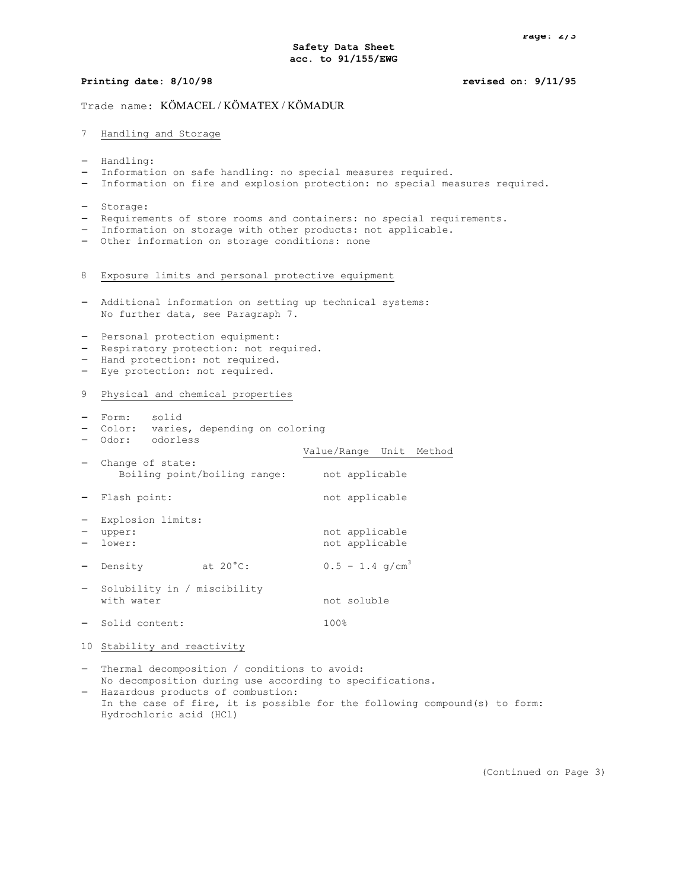### **Printing date: 8/10/98 revised on: 9/11/95**

## Trade name: KÖMACEL / KÖMATEX / KÖMADUR

### 7 Handling and Storage

- − Handling:
- Information on safe handling: no special measures required.
- Information on fire and explosion protection: no special measures required.
- − Storage:
- Requirements of store rooms and containers: no special requirements.
- Information on storage with other products: not applicable.
- − Other information on storage conditions: none
- 8 Exposure limits and personal protective equipment
- − Additional information on setting up technical systems: No further data, see Paragraph 7.
- − Personal protection equipment:
- − Respiratory protection: not required.
- − Hand protection: not required.
- − Eye protection: not required.

#### 9 Physical and chemical properties

- − Form: solid
- − Color: varies, depending on coloring
- − Odor: odorless

| ---------                                        |                               |
|--------------------------------------------------|-------------------------------|
|                                                  | Value/Range Unit Method       |
| Change of state:<br>Boiling point/boiling range: | not applicable                |
| - Flash point:                                   | not applicable                |
| Explosion limits:                                |                               |
| upper:                                           | not applicable                |
| lower:                                           | not applicable                |
| at $20^{\circ}$ C:<br>Density                    | $0.5 - 1.4$ q/cm <sup>3</sup> |
| Solubility in / miscibility                      |                               |
| with water                                       | not soluble                   |
| Solid content:                                   | 100%                          |

10 Stability and reactivity

− Thermal decomposition / conditions to avoid: No decomposition during use according to specifications.

− Hazardous products of combustion: In the case of fire, it is possible for the following compound(s) to form: Hydrochloric acid (HCl)

(Continued on Page 3)